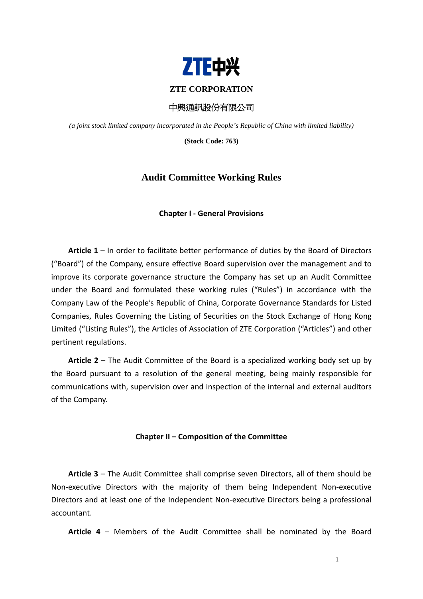

### **ZTE CORPORATION**

中興通訊股份有限公司

*(a joint stock limited company incorporated in the People's Republic of China with limited liability)* 

**(Stock Code: 763)** 

# **Audit Committee Working Rules**

### **Chapter I ‐ General Provisions**

**Article 1** – In order to facilitate better performance of duties by the Board of Directors ("Board") of the Company, ensure effective Board supervision over the management and to improve its corporate governance structure the Company has set up an Audit Committee under the Board and formulated these working rules ("Rules") in accordance with the Company Law of the People's Republic of China, Corporate Governance Standards for Listed Companies, Rules Governing the Listing of Securities on the Stock Exchange of Hong Kong Limited ("Listing Rules"), the Articles of Association of ZTE Corporation ("Articles") and other pertinent regulations.

**Article 2** – The Audit Committee of the Board is a specialized working body set up by the Board pursuant to a resolution of the general meeting, being mainly responsible for communications with, supervision over and inspection of the internal and external auditors of the Company.

### **Chapter II – Composition of the Committee**

**Article 3** – The Audit Committee shall comprise seven Directors, all of them should be Non‐executive Directors with the majority of them being Independent Non‐executive Directors and at least one of the Independent Non‐executive Directors being a professional accountant.

**Article 4** – Members of the Audit Committee shall be nominated by the Board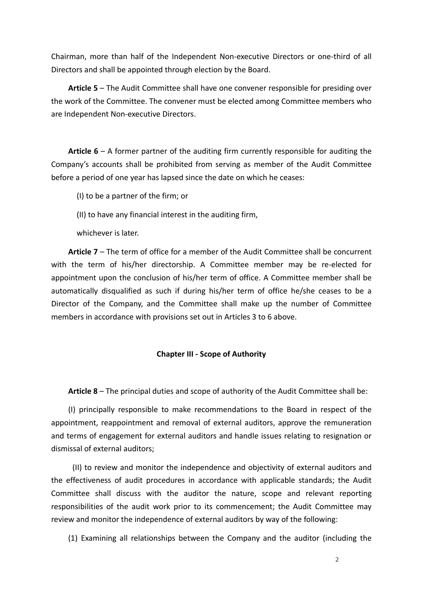Chairman, more than half of the Independent Non‐executive Directors or one‐third of all Directors and shall be appointed through election by the Board.

**Article 5** – The Audit Committee shall have one convener responsible for presiding over the work of the Committee. The convener must be elected among Committee members who are Independent Non‐executive Directors.

**Article 6** – A former partner of the auditing firm currently responsible for auditing the Company's accounts shall be prohibited from serving as member of the Audit Committee before a period of one year has lapsed since the date on which he ceases:

(I) to be a partner of the firm; or

(II) to have any financial interest in the auditing firm,

whichever is later.

**Article 7** – The term of office for a member of the Audit Committee shall be concurrent with the term of his/her directorship. A Committee member may be re-elected for appointment upon the conclusion of his/her term of office. A Committee member shall be automatically disqualified as such if during his/her term of office he/she ceases to be a Director of the Company, and the Committee shall make up the number of Committee members in accordance with provisions set out in Articles 3 to 6 above.

## **Chapter III ‐ Scope of Authority**

**Article 8** – The principal duties and scope of authority of the Audit Committee shall be:

(I) principally responsible to make recommendations to the Board in respect of the appointment, reappointment and removal of external auditors, approve the remuneration and terms of engagement for external auditors and handle issues relating to resignation or dismissal of external auditors;

(II) to review and monitor the independence and objectivity of external auditors and the effectiveness of audit procedures in accordance with applicable standards; the Audit Committee shall discuss with the auditor the nature, scope and relevant reporting responsibilities of the audit work prior to its commencement; the Audit Committee may review and monitor the independence of external auditors by way of the following:

(1) Examining all relationships between the Company and the auditor (including the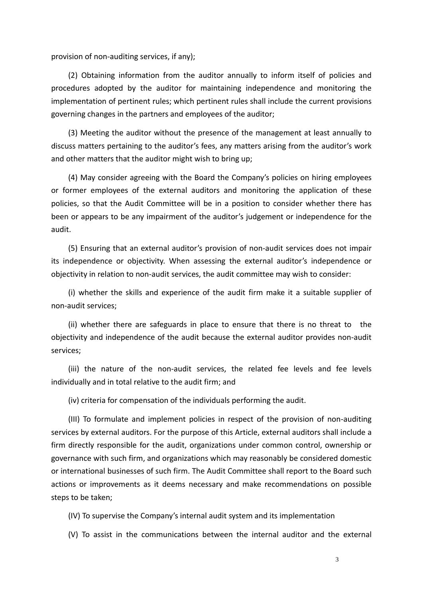provision of non‐auditing services, if any);

(2) Obtaining information from the auditor annually to inform itself of policies and procedures adopted by the auditor for maintaining independence and monitoring the implementation of pertinent rules; which pertinent rules shall include the current provisions governing changes in the partners and employees of the auditor;

(3) Meeting the auditor without the presence of the management at least annually to discuss matters pertaining to the auditor's fees, any matters arising from the auditor's work and other matters that the auditor might wish to bring up;

(4) May consider agreeing with the Board the Company's policies on hiring employees or former employees of the external auditors and monitoring the application of these policies, so that the Audit Committee will be in a position to consider whether there has been or appears to be any impairment of the auditor's judgement or independence for the audit.

(5) Ensuring that an external auditor's provision of non‐audit services does not impair its independence or objectivity. When assessing the external auditor's independence or objectivity in relation to non‐audit services, the audit committee may wish to consider:

(i) whether the skills and experience of the audit firm make it a suitable supplier of non‐audit services;

(ii) whether there are safeguards in place to ensure that there is no threat to the objectivity and independence of the audit because the external auditor provides non‐audit services;

(iii) the nature of the non‐audit services, the related fee levels and fee levels individually and in total relative to the audit firm; and

(iv) criteria for compensation of the individuals performing the audit.

(III) To formulate and implement policies in respect of the provision of non‐auditing services by external auditors. For the purpose of this Article, external auditors shall include a firm directly responsible for the audit, organizations under common control, ownership or governance with such firm, and organizations which may reasonably be considered domestic or international businesses of such firm. The Audit Committee shall report to the Board such actions or improvements as it deems necessary and make recommendations on possible steps to be taken;

(IV) To supervise the Company's internal audit system and its implementation

(V) To assist in the communications between the internal auditor and the external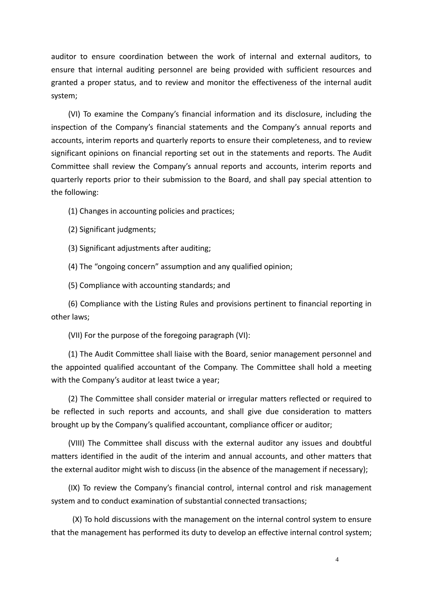auditor to ensure coordination between the work of internal and external auditors, to ensure that internal auditing personnel are being provided with sufficient resources and granted a proper status, and to review and monitor the effectiveness of the internal audit system;

(VI) To examine the Company's financial information and its disclosure, including the inspection of the Company's financial statements and the Company's annual reports and accounts, interim reports and quarterly reports to ensure their completeness, and to review significant opinions on financial reporting set out in the statements and reports. The Audit Committee shall review the Company's annual reports and accounts, interim reports and quarterly reports prior to their submission to the Board, and shall pay special attention to the following:

(1) Changes in accounting policies and practices;

(2) Significant judgments;

(3) Significant adjustments after auditing;

(4) The "ongoing concern" assumption and any qualified opinion;

(5) Compliance with accounting standards; and

(6) Compliance with the Listing Rules and provisions pertinent to financial reporting in other laws;

(VII) For the purpose of the foregoing paragraph (VI):

(1) The Audit Committee shall liaise with the Board, senior management personnel and the appointed qualified accountant of the Company. The Committee shall hold a meeting with the Company's auditor at least twice a year;

(2) The Committee shall consider material or irregular matters reflected or required to be reflected in such reports and accounts, and shall give due consideration to matters brought up by the Company's qualified accountant, compliance officer or auditor;

(VIII) The Committee shall discuss with the external auditor any issues and doubtful matters identified in the audit of the interim and annual accounts, and other matters that the external auditor might wish to discuss (in the absence of the management if necessary);

(IX) To review the Company's financial control, internal control and risk management system and to conduct examination of substantial connected transactions;

(X) To hold discussions with the management on the internal control system to ensure that the management has performed its duty to develop an effective internal control system;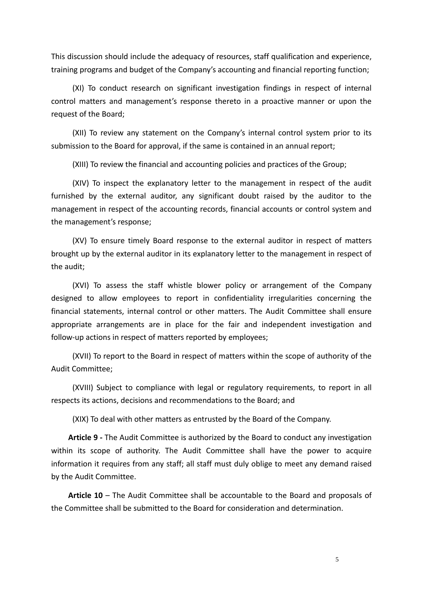This discussion should include the adequacy of resources, staff qualification and experience, training programs and budget of the Company's accounting and financial reporting function;

(XI) To conduct research on significant investigation findings in respect of internal control matters and management's response thereto in a proactive manner or upon the request of the Board;

(XII) To review any statement on the Company's internal control system prior to its submission to the Board for approval, if the same is contained in an annual report;

(XIII) To review the financial and accounting policies and practices of the Group;

(XIV) To inspect the explanatory letter to the management in respect of the audit furnished by the external auditor, any significant doubt raised by the auditor to the management in respect of the accounting records, financial accounts or control system and the management's response;

(XV) To ensure timely Board response to the external auditor in respect of matters brought up by the external auditor in its explanatory letter to the management in respect of the audit;

(XVI) To assess the staff whistle blower policy or arrangement of the Company designed to allow employees to report in confidentiality irregularities concerning the financial statements, internal control or other matters. The Audit Committee shall ensure appropriate arrangements are in place for the fair and independent investigation and follow-up actions in respect of matters reported by employees;

(XVII) To report to the Board in respect of matters within the scope of authority of the Audit Committee;

(XVIII) Subject to compliance with legal or regulatory requirements, to report in all respects its actions, decisions and recommendations to the Board; and

(XIX) To deal with other matters as entrusted by the Board of the Company.

**Article 9 ‐** The Audit Committee is authorized by the Board to conduct any investigation within its scope of authority. The Audit Committee shall have the power to acquire information it requires from any staff; all staff must duly oblige to meet any demand raised by the Audit Committee.

**Article 10** – The Audit Committee shall be accountable to the Board and proposals of the Committee shall be submitted to the Board for consideration and determination.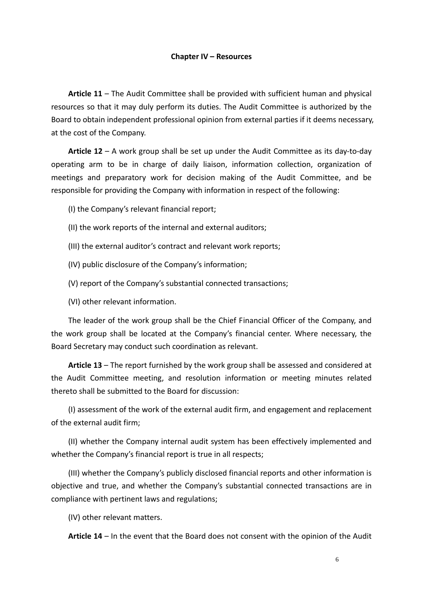### **Chapter IV – Resources**

**Article 11** – The Audit Committee shall be provided with sufficient human and physical resources so that it may duly perform its duties. The Audit Committee is authorized by the Board to obtain independent professional opinion from external parties if it deems necessary, at the cost of the Company.

**Article 12** – A work group shall be set up under the Audit Committee as its day‐to‐day operating arm to be in charge of daily liaison, information collection, organization of meetings and preparatory work for decision making of the Audit Committee, and be responsible for providing the Company with information in respect of the following:

(I) the Company's relevant financial report;

- (II) the work reports of the internal and external auditors;
- (III) the external auditor's contract and relevant work reports;
- (IV) public disclosure of the Company's information;
- (V) report of the Company's substantial connected transactions;

(VI) other relevant information.

The leader of the work group shall be the Chief Financial Officer of the Company, and the work group shall be located at the Company's financial center. Where necessary, the Board Secretary may conduct such coordination as relevant.

**Article 13** – The report furnished by the work group shall be assessed and considered at the Audit Committee meeting, and resolution information or meeting minutes related thereto shall be submitted to the Board for discussion:

(I) assessment of the work of the external audit firm, and engagement and replacement of the external audit firm;

(II) whether the Company internal audit system has been effectively implemented and whether the Company's financial report is true in all respects;

(III) whether the Company's publicly disclosed financial reports and other information is objective and true, and whether the Company's substantial connected transactions are in compliance with pertinent laws and regulations;

(IV) other relevant matters.

**Article 14** – In the event that the Board does not consent with the opinion of the Audit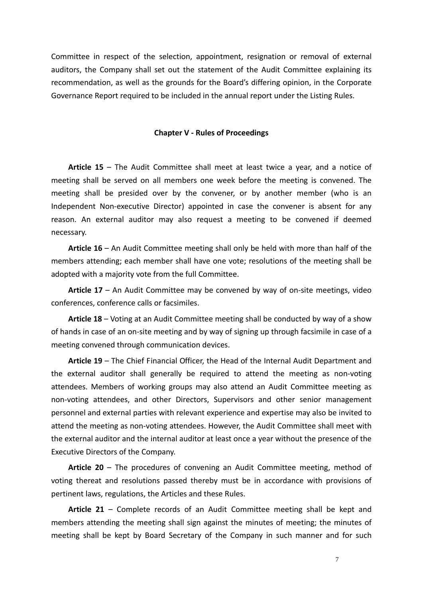Committee in respect of the selection, appointment, resignation or removal of external auditors, the Company shall set out the statement of the Audit Committee explaining its recommendation, as well as the grounds for the Board's differing opinion, in the Corporate Governance Report required to be included in the annual report under the Listing Rules.

### **Chapter V ‐ Rules of Proceedings**

**Article 15** – The Audit Committee shall meet at least twice a year, and a notice of meeting shall be served on all members one week before the meeting is convened. The meeting shall be presided over by the convener, or by another member (who is an Independent Non‐executive Director) appointed in case the convener is absent for any reason. An external auditor may also request a meeting to be convened if deemed necessary.

**Article 16** – An Audit Committee meeting shall only be held with more than half of the members attending; each member shall have one vote; resolutions of the meeting shall be adopted with a majority vote from the full Committee.

**Article 17** – An Audit Committee may be convened by way of on‐site meetings, video conferences, conference calls or facsimiles.

**Article 18** – Voting at an Audit Committee meeting shall be conducted by way of a show of hands in case of an on‐site meeting and by way of signing up through facsimile in case of a meeting convened through communication devices.

**Article 19** – The Chief Financial Officer, the Head of the Internal Audit Department and the external auditor shall generally be required to attend the meeting as non‐voting attendees. Members of working groups may also attend an Audit Committee meeting as non‐voting attendees, and other Directors, Supervisors and other senior management personnel and external parties with relevant experience and expertise may also be invited to attend the meeting as non‐voting attendees. However, the Audit Committee shall meet with the external auditor and the internal auditor at least once a year without the presence of the Executive Directors of the Company.

**Article 20** – The procedures of convening an Audit Committee meeting, method of voting thereat and resolutions passed thereby must be in accordance with provisions of pertinent laws, regulations, the Articles and these Rules.

**Article 21** – Complete records of an Audit Committee meeting shall be kept and members attending the meeting shall sign against the minutes of meeting; the minutes of meeting shall be kept by Board Secretary of the Company in such manner and for such